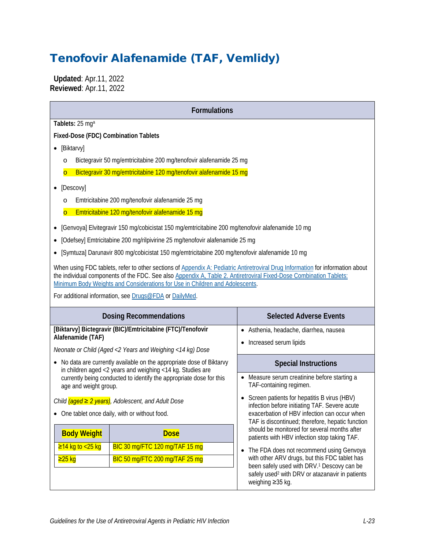# Tenofovir Alafenamide (TAF, Vemlidy)

 **Updated**: Apr.11, 2022 **Reviewed**: Apr.11, 2022

| <b>Formulations</b>                                                                                                                                                                                                                                                                                                                                                                            |                                                                                                  |                                                                                                                                                   |  |  |  |
|------------------------------------------------------------------------------------------------------------------------------------------------------------------------------------------------------------------------------------------------------------------------------------------------------------------------------------------------------------------------------------------------|--------------------------------------------------------------------------------------------------|---------------------------------------------------------------------------------------------------------------------------------------------------|--|--|--|
| Tablets: 25 mga                                                                                                                                                                                                                                                                                                                                                                                |                                                                                                  |                                                                                                                                                   |  |  |  |
| Fixed-Dose (FDC) Combination Tablets                                                                                                                                                                                                                                                                                                                                                           |                                                                                                  |                                                                                                                                                   |  |  |  |
| • [Biktarvy]                                                                                                                                                                                                                                                                                                                                                                                   |                                                                                                  |                                                                                                                                                   |  |  |  |
| $\circ$                                                                                                                                                                                                                                                                                                                                                                                        | Bictegravir 50 mg/emtricitabine 200 mg/tenofovir alafenamide 25 mg                               |                                                                                                                                                   |  |  |  |
| $\overline{O}$                                                                                                                                                                                                                                                                                                                                                                                 | Bictegravir 30 mg/emtricitabine 120 mg/tenofovir alafenamide 15 mg                               |                                                                                                                                                   |  |  |  |
| [Descovy]                                                                                                                                                                                                                                                                                                                                                                                      |                                                                                                  |                                                                                                                                                   |  |  |  |
| $\circ$                                                                                                                                                                                                                                                                                                                                                                                        | Emtricitabine 200 mg/tenofovir alafenamide 25 mg                                                 |                                                                                                                                                   |  |  |  |
| $\overline{\mathsf{C}}$                                                                                                                                                                                                                                                                                                                                                                        | Emtricitabine 120 mg/tenofovir alafenamide 15 mg                                                 |                                                                                                                                                   |  |  |  |
|                                                                                                                                                                                                                                                                                                                                                                                                | [Genvoya] Elvitegravir 150 mg/cobicistat 150 mg/emtricitabine 200 mg/tenofovir alafenamide 10 mg |                                                                                                                                                   |  |  |  |
|                                                                                                                                                                                                                                                                                                                                                                                                | [Odefsey] Emtricitabine 200 mg/rilpivirine 25 mg/tenofovir alafenamide 25 mg                     |                                                                                                                                                   |  |  |  |
|                                                                                                                                                                                                                                                                                                                                                                                                | [Symtuza] Darunavir 800 mg/cobicistat 150 mg/emtricitabine 200 mg/tenofovir alafenamide 10 mg    |                                                                                                                                                   |  |  |  |
| When using FDC tablets, refer to other sections of Appendix A: Pediatric Antiretroviral Drug Information for information about<br>the individual components of the FDC. See also Appendix A, Table 2. Antiretroviral Fixed-Dose Combination Tablets:<br>Minimum Body Weights and Considerations for Use in Children and Adolescents.<br>For additional information, see Drugs@FDA or DailyMed. |                                                                                                  |                                                                                                                                                   |  |  |  |
|                                                                                                                                                                                                                                                                                                                                                                                                | <b>Dosing Recommendations</b>                                                                    | <b>Selected Adverse Events</b>                                                                                                                    |  |  |  |
|                                                                                                                                                                                                                                                                                                                                                                                                | [Biktarvy] Bictegravir (BIC)/Emtricitabine (FTC)/Tenofovir                                       | Asthenia, headache, diarrhea, nausea                                                                                                              |  |  |  |
| Alafenamide (TAF)                                                                                                                                                                                                                                                                                                                                                                              | Neonate or Child (Aged <2 Years and Weighing <14 kg) Dose                                        | Increased serum lipids                                                                                                                            |  |  |  |
|                                                                                                                                                                                                                                                                                                                                                                                                |                                                                                                  |                                                                                                                                                   |  |  |  |
| No data are currently available on the appropriate dose of Biktarvy<br>in children aged <2 years and weighing <14 kg. Studies are<br>currently being conducted to identify the appropriate dose for this<br>age and weight group.                                                                                                                                                              |                                                                                                  | <b>Special Instructions</b>                                                                                                                       |  |  |  |
|                                                                                                                                                                                                                                                                                                                                                                                                |                                                                                                  | • Measure serum creatinine before starting a<br>TAF-containing regimen.                                                                           |  |  |  |
| Child $(a$ ged $\geq 2$ years), Adolescent, and Adult Dose                                                                                                                                                                                                                                                                                                                                     |                                                                                                  | Screen patients for hepatitis B virus (HBV)                                                                                                       |  |  |  |
| One tablet once daily, with or without food.                                                                                                                                                                                                                                                                                                                                                   |                                                                                                  | infection before initiating TAF. Severe acute<br>exacerbation of HBV infection can occur when<br>TAF is discontinued; therefore, hepatic function |  |  |  |
| <b>Body Weight</b>                                                                                                                                                                                                                                                                                                                                                                             | <b>Dose</b>                                                                                      | should be monitored for several months after<br>patients with HBV infection stop taking TAF.                                                      |  |  |  |
| $≥14$ kg to <25 kg                                                                                                                                                                                                                                                                                                                                                                             | BIC 30 mg/FTC 120 mg/TAF 15 mg                                                                   | The FDA does not recommend using Genvoya                                                                                                          |  |  |  |
| $≥25$ kg                                                                                                                                                                                                                                                                                                                                                                                       | BIC 50 mg/FTC 200 mg/TAF 25 mg                                                                   | with other ARV drugs, but this FDC tablet has                                                                                                     |  |  |  |
|                                                                                                                                                                                                                                                                                                                                                                                                |                                                                                                  | been safely used with DRV. <sup>1</sup> Descovy can be<br>safely used <sup>2</sup> with DRV or atazanavir in patients<br>weighing ≥35 kg.         |  |  |  |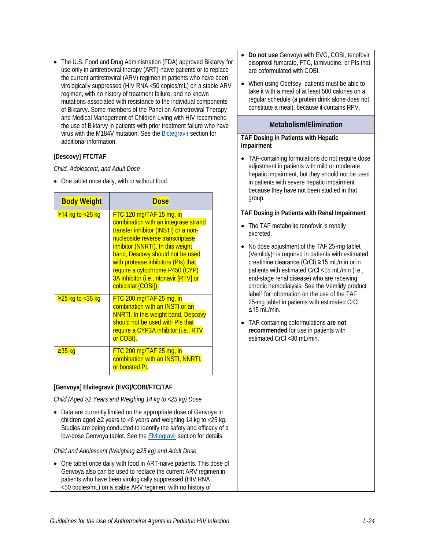• The U.S. Food and Drug Administration (FDA) approved Biktarvy for use only in antiretroviral therapy (ART)-naive patients or to replace the current antiretroviral (ARV) regimen in patients who have been virologically suppressed (HIV RNA <50 copies/mL) on a stable ARV regimen, with no history of treatment failure, and no known mutations associated with resistance to the individual components of Biktarvy. Some members of the Panel on Antiretroviral Therapy and Medical Management of Children Living with HIV recommend the use of Biktarvy in patients with prior treatment failure who have virus with the M184V mutation. See the [Bictegravir](https://clinicalinfo.hiv.gov/en/guidelines/pediatric-arv/bictegravir) section for additional information.

#### **[Descovy] FTC/TAF**

*Child, Adolescent, and Adult Dose*

• One tablet once daily, with or without food.

| <b>Body Weight</b>               | <b>Dose</b>                                                                                                                                                                                                                                                                                                                                                        |
|----------------------------------|--------------------------------------------------------------------------------------------------------------------------------------------------------------------------------------------------------------------------------------------------------------------------------------------------------------------------------------------------------------------|
| <mark>≥14 kg to &lt;25 kg</mark> | $FTC$ 120 mg/TAF 15 mg, in<br>combination with an integrase strand<br>transfer inhibitor (INSTI) or a non-<br>nucleoside reverse transcriptase<br>inhibitor (NNRTI). In this weight<br>band, Descovy should not be used<br>with protease inhibitors (PIs) that<br>require a cytochrome P450 (CYP)<br>3A inhibitor (i.e., ritonavir [RTV] or<br>cobicistat [COBI]). |
| $≥25$ kg to <35 kg               | $FTC$ 200 mg/TAF 25 mg, in<br>combination with an INSTI or an<br><b>NNRTI. In this weight band, Descovy</b><br>should not be used with PIs that<br>require a CYP3A inhibitor (i.e., RTV<br>or COBI).                                                                                                                                                               |
| <mark>≥35 kg</mark>              | $FTC$ 200 mg/TAF 25 mg, in<br>combination with an INSTI, NNRTI,<br>or boosted PI.                                                                                                                                                                                                                                                                                  |

#### **[Genvoya] Elvitegravir (EVG)/COBI/FTC/TAF**

*Child (Aged >2 Years and Weighing 14 kg to <25 kg) Dose*

• Data are currently limited on the appropriate dose of Genvoya in children aged  $\geq$ 2 years to <6 years and weighing 14 kg to <25 kg. Studies are being conducted to identify the safety and efficacy of a low-dose Genvoya tablet. See the [Elvitegravir](https://clinicalinfo.hiv.gov/en/guidelines/pediatric-arv/elvitegravir) section for details.

*Child and Adolescent (Weighing ≥25 kg) and Adult Dose*

• One tablet once daily with food in ART-naive patients. This dose of Genvoya also can be used to replace the current ARV regimen in patients who have been virologically suppressed (HIV RNA <50 copies/mL) on a stable ARV regimen, with no history of

- **Do not use** Genvoya with EVG, COBI, tenofovir disoproxil fumarate, FTC, lamivudine, or PIs that are coformulated with COBI.
- When using Odefsey, patients must be able to take it with a meal of at least 500 calories on a regular schedule (a protein drink alone does not constitute a meal), because it contains RPV.

#### **Metabolism/Elimination**

#### **TAF Dosing in Patients with Hepatic Impairment**

• TAF-containing formulations do not require dose adjustment in patients with mild or moderate hepatic impairment, but they should not be used in patients with severe hepatic impairment because they have not been studied in that group.

#### **TAF Dosing in Patients with Renal Impairment**

- The TAF metabolite tenofovir is renally excreted.
- No dose adjustment of the TAF 25-mg tablet (Vemlidy)a is required in patients with estimated creatinine clearance (CrCl) ≥15 mL/min or in patients with estimated CrCl <15 mL/min (i.e., end-stage renal disease) who are receiving chronic hemodialysis. See the Vemlidy product lab[el3](#page-12-2) for information on the use of the TAF 25-mg tablet in patients with estimated CrCl ≤15 mL/min.
- TAF-containing coformulations **are not recommended** for use in patients with estimated CrCl <30 mL/min.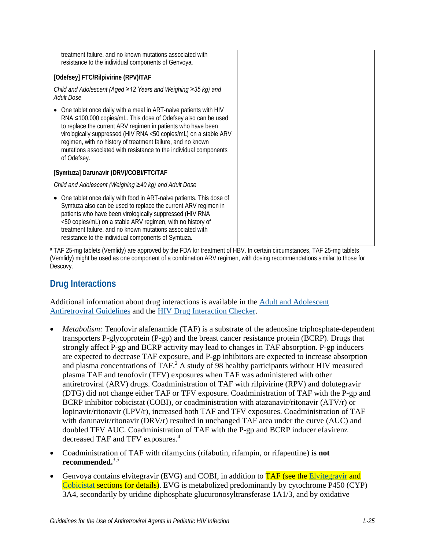| treatment failure, and no known mutations associated with<br>resistance to the individual components of Genvoya.                                                                                                                                                                                                                                                                                                                      |  |
|---------------------------------------------------------------------------------------------------------------------------------------------------------------------------------------------------------------------------------------------------------------------------------------------------------------------------------------------------------------------------------------------------------------------------------------|--|
| [Odefsey] FTC/Rilpivirine (RPV)/TAF                                                                                                                                                                                                                                                                                                                                                                                                   |  |
| Child and Adolescent (Aged ≥12 Years and Weighing ≥35 kg) and<br><b>Adult Dose</b>                                                                                                                                                                                                                                                                                                                                                    |  |
| One tablet once daily with a meal in ART-naive patients with HIV<br>$\bullet$<br>RNA ≤100,000 copies/mL. This dose of Odefsey also can be used<br>to replace the current ARV regimen in patients who have been<br>virologically suppressed (HIV RNA <50 copies/mL) on a stable ARV<br>regimen, with no history of treatment failure, and no known<br>mutations associated with resistance to the individual components<br>of Odefsey. |  |
| [Symtuza] Darunavir (DRV)/COBI/FTC/TAF                                                                                                                                                                                                                                                                                                                                                                                                |  |
| Child and Adolescent (Weighing ≥40 kg) and Adult Dose                                                                                                                                                                                                                                                                                                                                                                                 |  |
| One tablet once daily with food in ART-naive patients. This dose of<br>$\bullet$<br>Symtuza also can be used to replace the current ARV regimen in<br>patients who have been virologically suppressed (HIV RNA<br><50 copies/mL) on a stable ARV regimen, with no history of<br>treatment failure, and no known mutations associated with<br>resistance to the individual components of Symtuza.                                      |  |

a TAF 25-mg tablets (Vemlidy) are approved by the FDA for treatment of HBV. In certain circumstances, TAF 25-mg tablets (Vemlidy) might be used as one component of a combination ARV regimen, with dosing recommendations similar to those for Descovy.

# **Drug Interactions**

Additional information about drug interactions is available in the [Adult and Adolescent](https://clinicalinfo.hiv.gov/en/guidelines/adult-and-adolescent-arv/whats-new-guidelines)  [Antiretroviral Guidelines](https://clinicalinfo.hiv.gov/en/guidelines/adult-and-adolescent-arv/whats-new-guidelines) and the [HIV Drug Interaction Checker.](http://www.hiv-druginteractions.org/)

- *Metabolism:* Tenofovir alafenamide (TAF) is a substrate of the adenosine triphosphate-dependent transporters P-glycoprotein (P-gp) and the breast cancer resistance protein (BCRP). Drugs that strongly affect P-gp and BCRP activity may lead to changes in TAF absorption. P-gp inducers are expected to decrease TAF exposure, and P-gp inhibitors are expected to increase absorption and plasma concentrations of TAF. $^2$  $^2$  A study of 98 healthy participants without HIV measured plasma TAF and tenofovir (TFV) exposures when TAF was administered with other antiretroviral (ARV) drugs. Coadministration of TAF with rilpivirine (RPV) and dolutegravir (DTG) did not change either TAF or TFV exposure. Coadministration of TAF with the P-gp and BCRP inhibitor cobicistat (COBI), or coadministration with atazanavir/ritonavir (ATV/r) or lopinavir/ritonavir (LPV/r), increased both TAF and TFV exposures. Coadministration of TAF with darunavir/ritonavir (DRV/r) resulted in unchanged TAF area under the curve (AUC) and doubled TFV AUC. Coadministration of TAF with the P-gp and BCRP inducer efavirenz decreased TAF and TFV exposures.<sup>4</sup>
- Coadministration of TAF with rifamycins (rifabutin, rifampin, or rifapentine) **is not recommended.** [3](#page-12-2)[,5](#page-12-4)
- Genvoya contains elvitegravir (EVG) and COBI, in addition to TAF (see the [Elvitegravir](https://clinicalinfo.hiv.gov/en/guidelines/pediatric-arv/elvitegravir) and [Cobicistat](https://clinicalinfo.hiv.gov/en/guidelines/pediatric-arv/cobicistat) sections for details). EVG is metabolized predominantly by cytochrome P450 (CYP) 3A4, secondarily by uridine diphosphate glucuronosyltransferase 1A1/3, and by oxidative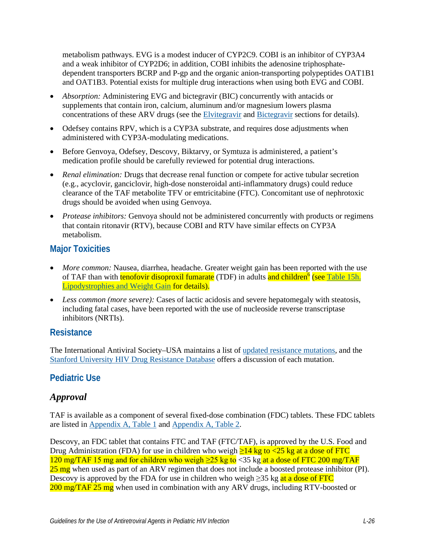metabolism pathways. EVG is a modest inducer of CYP2C9. COBI is an inhibitor of CYP3A4 and a weak inhibitor of CYP2D6; in addition, COBI inhibits the adenosine triphosphatedependent transporters BCRP and P-gp and the organic anion-transporting polypeptides OAT1B1 and OAT1B3. Potential exists for multiple drug interactions when using both EVG and COBI.

- *Absorption:* Administering EVG and bictegravir (BIC) concurrently with antacids or supplements that contain iron, calcium, aluminum and/or magnesium lowers plasma concentrations of these ARV drugs (see the [Elvitegravir](https://clinicalinfo.hiv.gov/en/guidelines/pediatric-arv/elvitegravir) and [Bictegravir](https://clinicalinfo.hiv.gov/en/guidelines/pediatric-arv/bictegravir) sections for details).
- Odefsey contains RPV, which is a CYP3A substrate, and requires dose adjustments when administered with CYP3A-modulating medications.
- Before Genvoya, Odefsey, Descovy, Biktaryy, or Symtuza is administered, a patient's medication profile should be carefully reviewed for potential drug interactions.
- *Renal elimination:* Drugs that decrease renal function or compete for active tubular secretion (e.g., acyclovir, ganciclovir, high-dose nonsteroidal anti-inflammatory drugs) could reduce clearance of the TAF metabolite TFV or emtricitabine (FTC). Concomitant use of nephrotoxic drugs should be avoided when using Genvoya.
- *Protease inhibitors:* Genvoya should not be administered concurrently with products or regimens that contain ritonavir (RTV), because COBI and RTV have similar effects on CYP3A metabolism.

# **Major Toxicities**

- *More common:* Nausea, diarrhea, headache. Greater weight gain has been reported with the use of TAF than with tenofovir disoproxil fumarate (TDF) in adults and children<sup>6</sup> (see Table 15h. [Lipodystrophies and Weight Gain](https://clinicalinfo.hiv.gov/en/table/table-15h-antiretroviral-therapy-associated-adverse-effects-and-management-recommendations) for details).
- *Less common (more severe):* Cases of lactic acidosis and severe hepatomegaly with steatosis, including fatal cases, have been reported with the use of nucleoside reverse transcriptase inhibitors (NRTIs).

### **Resistance**

The International Antiviral Society–USA maintains a list of [updated resistance mutations,](https://www.iasusa.org/resources/hiv-drug-resistance-mutations/) and the [Stanford University HIV Drug Resistance Database](http://hivdb.stanford.edu/DR/) offers a discussion of each mutation.

### **Pediatric Use**

### *Approval*

TAF is available as a component of several fixed-dose combination (FDC) tablets. These FDC tablets are listed in [Appendix A, Table 1](https://clinicalinfo.hiv.gov/en/guidelines/pediatric-arv/appendix-table-1-antiretrovirals-available-fixed-dose-combination-tablets) and [Appendix A, Table 2.](https://clinicalinfo.hiv.gov/en/guidelines/pediatric-arv/appendix-table-2-antiretroviral-fixed-dose-combination-tablets-minimum)

Descovy, an FDC tablet that contains FTC and TAF (FTC/TAF), is approved by the U.S. Food and Drug Administration (FDA) for use in children who weigh  $\geq$ 14 kg to <25 kg at a dose of FTC 120 mg/TAF 15 mg and for children who weigh  $\geq$ 25 kg to <35 kg at a dose of FTC 200 mg/TAF  $25 \text{ mg}$  when used as part of an ARV regimen that does not include a boosted protease inhibitor (PI). Descovy is approved by the FDA for use in children who weigh  $\geq$ 35 kg at a dose of FTC 200 mg/TAF 25 mg when used in combination with any ARV drugs, including RTV-boosted or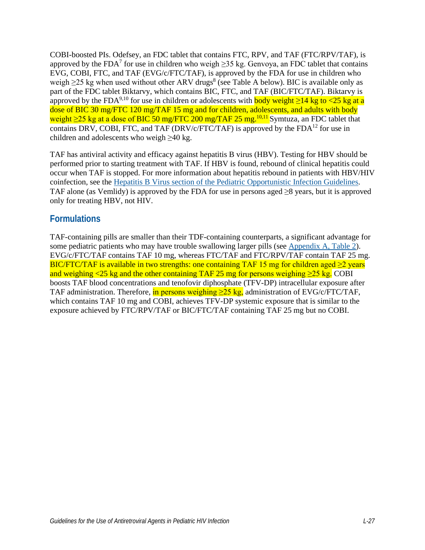COBI-boosted PIs. Odefsey, an FDC tablet that contains FTC, RPV, and TAF (FTC/RPV/TAF), is approved by the FDA<sup>7</sup> for use in children who weigh  $\geq$ 35 kg. Genvoya, an FDC tablet that contains EVG, COBI, FTC, and TAF (EVG/c/FTC/TAF), is approved by the FDA for use in children who weigh  $\geq$ 25 kg when used without other ARV drugs<sup>8</sup> (see Table A below). BIC is available only as part of the FDC tablet Biktarvy, which contains BIC, FTC, and TAF (BIC/FTC/TAF). Biktarvy is approved by the FDA<sup>9,10</sup> for use in children or adolescents with **body weight >14 kg to <25 kg at a** dose of BIC 30 mg/FTC 120 mg/TAF 15 mg and for children, adolescents, and adults with body weight ≥25 kg at a dose of BIC 50 mg/FTC 200 mg/TAF 25 mg.<sup>[10](#page-12-9)[,11](#page-13-0)</sup> Symtuza, an FDC tablet that contains DRV, COBI, FTC, and TAF (DRV/c/FTC/TAF) is approved by the  $FDA<sup>12</sup>$  for use in children and adolescents who weigh  $\geq 40$  kg.

TAF has antiviral activity and efficacy against hepatitis B virus (HBV). Testing for HBV should be performed prior to starting treatment with TAF. If HBV is found, rebound of clinical hepatitis could occur when TAF is stopped. For more information about hepatitis rebound in patients with HBV/HIV coinfection, see the [Hepatitis B Virus section of the Pediatric Opportunistic Infection Guidelines.](https://clinicalinfo.hiv.gov/en/guidelines/pediatric-opportunistic-infection/hepatitis-b-virus) TAF alone (as Vemlidy) is approved by the FDA for use in persons aged  $\geq 8$  years, but it is approved only for treating HBV, not HIV.

#### **Formulations**

TAF-containing pills are smaller than their TDF-containing counterparts, a significant advantage for some pediatric patients who may have trouble swallowing larger pills (see [Appendix A, Table 2\)](https://clinicalinfo.hiv.gov/en/guidelines/pediatric-arv/appendix-table-2-antiretroviral-fixed-dose-combination-tablets-minimum). EVG/c/FTC/TAF contains TAF 10 mg, whereas FTC/TAF and FTC/RPV/TAF contain TAF 25 mg. BIC/FTC/TAF is available in two strengths: one containing TAF 15 mg for children aged  $\geq$ 2 years and weighing <25 kg and the other containing TAF 25 mg for persons weighing  $\geq$ 25 kg. COBI boosts TAF blood concentrations and tenofovir diphosphate (TFV-DP) intracellular exposure after TAF administration. Therefore, in persons weighing  $\geq$ 25 kg, administration of EVG/c/FTC/TAF, which contains TAF 10 mg and COBI, achieves TFV-DP systemic exposure that is similar to the exposure achieved by FTC/RPV/TAF or BIC/FTC/TAF containing TAF 25 mg but no COBI.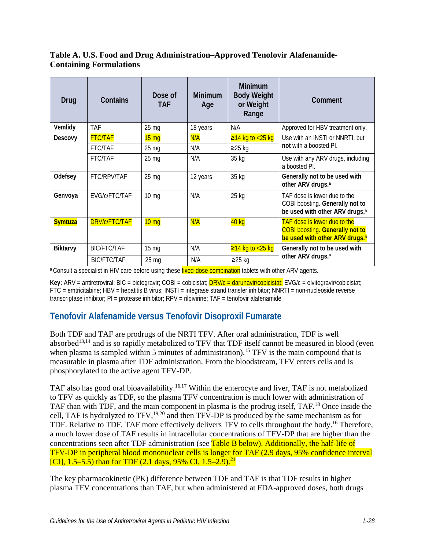#### **Table A. U.S. Food and Drug Administration–Approved Tenofovir Alafenamide-Containing Formulations**

| Drug            | Contains             | Dose of<br><b>TAF</b> | <b>Minimum</b><br>Age | <b>Minimum</b><br><b>Body Weight</b><br>or Weight<br>Range | Comment                                                                                                                     |  |
|-----------------|----------------------|-----------------------|-----------------------|------------------------------------------------------------|-----------------------------------------------------------------------------------------------------------------------------|--|
| Vemlidy         | <b>TAF</b>           | 25 <sub>mg</sub>      | 18 years              | N/A                                                        | Approved for HBV treatment only.                                                                                            |  |
| Descovy         | <b>FTC/TAF</b>       | $15 \text{ mg}$       | N/A                   | $≥14$ kg to <25 kg                                         | Use with an INSTI or NNRTI, but<br>not with a boosted Pl.                                                                   |  |
|                 | <b>FTC/TAF</b>       | 25 <sub>mg</sub>      | N/A                   | $≥25$ kg                                                   |                                                                                                                             |  |
|                 | <b>FTC/TAF</b>       | 25 <sub>mg</sub>      | N/A                   | 35 kg                                                      | Use with any ARV drugs, including<br>a boosted PL                                                                           |  |
| Odefsey         | FTC/RPV/TAF          | 25 <sub>mg</sub>      | 12 years              | 35 kg                                                      | Generally not to be used with<br>other ARV drugs. <sup>a</sup>                                                              |  |
| Genvoya         | EVG/c/FTC/TAF        | $10 \text{ mg}$       | N/A                   | 25 kg                                                      | TAF dose is lower due to the<br>COBI boosting. Generally not to<br>be used with other ARV drugs. <sup>a</sup>               |  |
| <b>Symtuza</b>  | <b>DRV/c/FTC/TAF</b> | $10 \text{ mg}$       | N/A                   | 40 kg                                                      | <b>TAF dose is lower due to the</b><br><b>COBI boosting. Generally not to</b><br>be used with other ARV drugs. <sup>a</sup> |  |
| <b>Biktarvy</b> | <b>BIC/FTC/TAF</b>   | 15 <sub>mg</sub>      | N/A                   | $≥14$ kg to <25 kg                                         | Generally not to be used with                                                                                               |  |
|                 | <b>BIC/FTC/TAF</b>   | $25 \text{ mg}$       | N/A                   | $≥25$ kg                                                   | other ARV drugs. <sup>a</sup>                                                                                               |  |

a Consult a specialist in HIV care before using these *fixed-dose combination* tablets with other ARV agents.

**Key:** ARV = antiretroviral; BIC = bictegravir; COBI = cobicistat; **DRV/c = darunavir/cobicistat;** EVG/c = elvitegravir/cobicistat; FTC = emtricitabine; HBV = hepatitis B virus; INSTI = integrase strand transfer inhibitor; NNRTI = non-nucleoside reverse transcriptase inhibitor; PI = protease inhibitor; RPV = rilpivirine; TAF = tenofovir alafenamide

# **Tenofovir Alafenamide versus Tenofovir Disoproxil Fumarate**

Both TDF and TAF are prodrugs of the NRTI TFV. After oral administration, TDF is well absorbed<sup>13,14</sup> and is so rapidly metabolized to TFV that TDF itself cannot be measured in blood (even when plasma is sampled within 5 minutes of administration).<sup>15</sup> TFV is the main compound that is measurable in plasma after TDF administration. From the bloodstream, TFV enters cells and is phosphorylated to the active agent TFV-DP.

TAF also has good oral bioavailability.<sup>16,17</sup> Within the enterocyte and liver, TAF is not metabolized to TFV as quickly as TDF, so the plasma TFV concentration is much lower with administration of TAF than with TDF, and the main component in plasma is the prodrug itself, TAF.<sup>18</sup> Once inside the cell, TAF is hydrolyzed to TFV,<sup>19[,20](#page-14-0)</sup> and then TFV-DP is produced by the same mechanism as for TDF. Relative to TDF, TAF more effectively delivers TFV to cells throughout the body.<sup>16</sup> Therefore, a much lower dose of TAF results in intracellular concentrations of TFV-DP that are higher than the concentrations seen after TDF administration (see Table B below). Additionally, the half-life of TFV-DP in peripheral blood mononuclear cells is longer for TAF (2.9 days, 95% confidence interval [CI], 1.5–5.5) than for TDF  $(2.1 \text{ days}, 95\% \text{ CI}, 1.5-2.9)$ .<sup>21</sup>

The key pharmacokinetic (PK) difference between TDF and TAF is that TDF results in higher plasma TFV concentrations than TAF, but when administered at FDA-approved doses, both drugs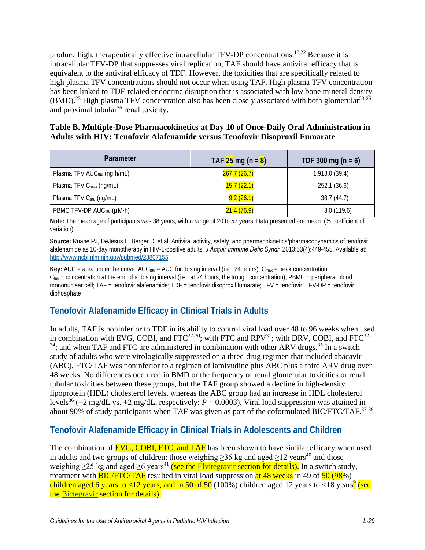produce high, therapeutically effective intracellular TFV-DP concentrations.<sup>[18,](#page-13-7)22</sup> Because it is intracellular TFV-DP that suppresses viral replication, TAF should have antiviral efficacy that is equivalent to the antiviral efficacy of TDF. However, the toxicities that are specifically related to high plasma TFV concentrations should not occur when using TAF. High plasma TFV concentration has been linked to TDF-related endocrine disruption that is associated with low bone mineral density  $(BMD).^{23}$  High plasma TFV concentration also has been closely associated with both glomerular<sup>23-25</sup> and proximal tubular<sup>26</sup> renal toxicity.

#### **Table B. Multiple-Dose Pharmacokinetics at Day 10 of Once-Daily Oral Administration in Adults with HIV: Tenofovir Alafenamide versus Tenofovir Disoproxil Fumarate**

| Parameter                               | TAF $25 \text{ mg} (n = 8)$ | TDF 300 mg $(n = 6)$ |
|-----------------------------------------|-----------------------------|----------------------|
| Plasma TFV AUC <sub>tau</sub> (ng·h/mL) | 267.7(26.7)                 | 1,918.0 (39.4)       |
| Plasma TFV C <sub>max</sub> (ng/mL)     | 15.7(22.1)                  | 252.1 (36.6)         |
| Plasma TFV Ctau (ng/mL)                 | 9.2(26.1)                   | 38.7(44.7)           |
| PBMC TFV-DP AUC <sub>tau</sub> (µM·h)   | 21.4(76.9)                  | 3.0(119.6)           |

**Note:** The mean age of participants was 38 years, with a range of 20 to 57 years. Data presented are mean (% coefficient of variation) .

**Source:** Ruane PJ, DeJesus E, Berger D, et al. Antiviral activity, safety, and pharmacokinetics/pharmacodynamics of tenofovir alafenamide as 10-day monotherapy in HIV-1-positive adults. *J Acquir Immune Defic Syndr*. 2013;63(4):449-455. Available at: [http://www.ncbi.nlm.nih.gov/pubmed/23807155.](http://www.ncbi.nlm.nih.gov/pubmed/23807155) 

**Key:** AUC = area under the curve; AUC<sub>tau</sub> = AUC for dosing interval (i.e., 24 hours);  $C_{\text{max}}$  = peak concentration;  $C<sub>tau</sub>$  = concentration at the end of a dosing interval (i.e., at 24 hours, the trough concentration); PBMC = peripheral blood mononuclear cell; TAF = tenofovir alafenamide; TDF = tenofovir disoproxil fumarate; TFV = tenofovir; TFV-DP = tenofovir diphosphate

# **Tenofovir Alafenamide Efficacy in Clinical Trials in Adults**

In adults, TAF is noninferior to TDF in its ability to control viral load over 48 to 96 weeks when used in combination with EVG, COBI, and FTC<sup>27-30</sup>; with FTC and RPV<sup>31</sup>; with DRV, COBI, and FTC<sup>32-</sup>  $34$ ; and when TAF and FTC are administered in combination with other ARV drugs.  $35$  In a switch study of adults who were virologically suppressed on a three-drug regimen that included abacavir (ABC), FTC/TAF was noninferior to a regimen of lamivudine plus ABC plus a third ARV drug over 48 weeks. No differences occurred in BMD or the frequency of renal glomerular toxicities or renal tubular toxicities between these groups, but the TAF group showed a decline in high-density lipoprotein (HDL) cholesterol levels, whereas the ABC group had an increase in HDL cholesterol level[s36](#page-15-3) (−2 mg/dL vs. +2 mg/dL, respectively; *P* = 0.0003). Viral load suppression was attained in about 90% of study participants when TAF was given as part of the coformulated BIC/FTC/TAF.<sup>37-39</sup>

### **Tenofovir Alafenamide Efficacy in Clinical Trials in Adolescents and Children**

The combination of **EVG, COBI, FTC, and TAF** has been shown to have similar efficacy when used in adults and two groups of children: those weighing  $\geq$ 35 kg and aged  $\geq$ 12 years<sup>40</sup> and those weighing  $\geq$ 25 kg and aged  $\geq$ 6 years<sup>[41](#page-16-2)</sup> (see the [Elvitegravir](https://clinicalinfo.hiv.gov/en/guidelines/pediatric-arv/elvitegravir) section for details). In a switch study, treatment with **BIC/FTC/TAF** resulted in viral load suppression at 48 weeks in 49 of  $\frac{50}{98\%}$ ) children aged 6 years to <12 years, and in 50 of 50 (100%) children aged 12 years to <18 years<sup>9</sup> (see the [Bictegravir](https://clinicalinfo.hiv.gov/en/guidelines/pediatric-arv/bictegravir) section for details).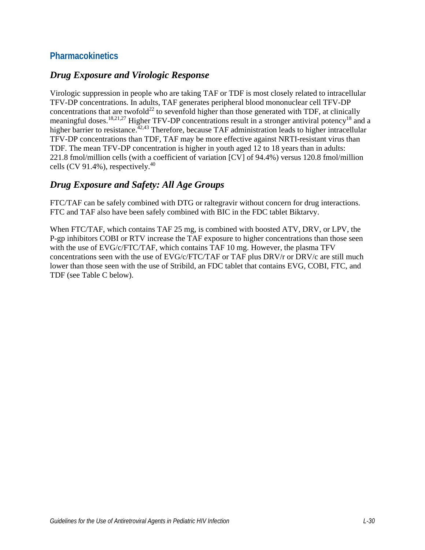### **Pharmacokinetics**

#### *Drug Exposure and Virologic Response*

Virologic suppression in people who are taking TAF or TDF is most closely related to intracellular TFV-DP concentrations. In adults, TAF generates peripheral blood mononuclear cell TFV-DP concentrations that are twofold<sup>22</sup> to sevenfold higher than those generated with TDF, at clinically meaningful doses.<sup>[18](#page-13-7)[,21,](#page-14-1)[27](#page-14-5)</sup> Higher TFV-DP concentrations result in a stronger antiviral potency<sup>18</sup> and a higher barrier to resistance.<sup>42,43</sup> Therefore, because TAF administration leads to higher intracellular TFV-DP concentrations than TDF, TAF may be more effective against NRTI-resistant virus than TDF. The mean TFV-DP concentration is higher in youth aged 12 to 18 years than in adults: 221.8 fmol/million cells (with a coefficient of variation [CV] of 94.4%) versus 120.8 fmol/million cells (CV 91.4%), respectively.<sup>40</sup>

#### *Drug Exposure and Safety: All Age Groups*

FTC/TAF can be safely combined with DTG or raltegravir without concern for drug interactions. FTC and TAF also have been safely combined with BIC in the FDC tablet Biktarvy.

When FTC/TAF, which contains TAF 25 mg, is combined with boosted ATV, DRV, or LPV, the P-gp inhibitors COBI or RTV increase the TAF exposure to higher concentrations than those seen with the use of EVG/c/FTC/TAF, which contains TAF 10 mg. However, the plasma TFV concentrations seen with the use of EVG/c/FTC/TAF or TAF plus DRV/r or DRV/c are still much lower than those seen with the use of Stribild, an FDC tablet that contains EVG, COBI, FTC, and TDF (see Table C below).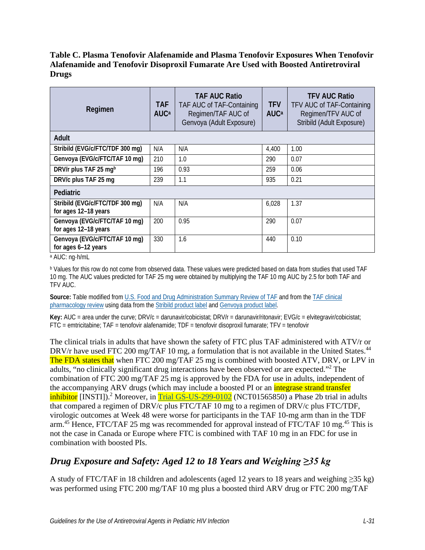#### **Table C. Plasma Tenofovir Alafenamide and Plasma Tenofovir Exposures When Tenofovir Alafenamide and Tenofovir Disoproxil Fumarate Are Used with Boosted Antiretroviral Drugs**

| Regimen                                                 | <b>TAF</b><br><b>AUC</b> <sup>a</sup> | TAF AUC Ratio<br>TAF AUC of TAF-Containing<br>Regimen/TAF AUC of<br>Genvoya (Adult Exposure) | <b>TFV</b><br><b>AUC</b> <sup>a</sup> | TFV AUC Ratio<br>TFV AUC of TAF-Containing<br>Regimen/TFV AUC of<br>Stribild (Adult Exposure) |
|---------------------------------------------------------|---------------------------------------|----------------------------------------------------------------------------------------------|---------------------------------------|-----------------------------------------------------------------------------------------------|
| Adult                                                   |                                       |                                                                                              |                                       |                                                                                               |
| Stribild (EVG/c/FTC/TDF 300 mg)                         | N/A                                   | N/A                                                                                          | 4,400                                 | 1.00                                                                                          |
| Genvoya (EVG/c/FTC/TAF 10 mg)                           | 210                                   | 1.0                                                                                          | 290                                   | 0.07                                                                                          |
| DRV/r plus TAF 25 mgb                                   | 196                                   | 0.93                                                                                         | 259                                   | 0.06                                                                                          |
| DRV/c plus TAF 25 mg                                    | 239                                   | 1.1                                                                                          | 935                                   | 0.21                                                                                          |
| <b>Pediatric</b>                                        |                                       |                                                                                              |                                       |                                                                                               |
| Stribild (EVG/c/FTC/TDF 300 mg)<br>for ages 12-18 years | N/A                                   | N/A                                                                                          | 6,028                                 | 1.37                                                                                          |
| Genvoya (EVG/c/FTC/TAF 10 mg)<br>for ages 12-18 years   | 200                                   | 0.95                                                                                         | 290                                   | 0.07                                                                                          |
| Genvoya (EVG/c/FTC/TAF 10 mg)<br>for ages 6-12 years    | 330                                   | 1.6                                                                                          | 440                                   | 0.10                                                                                          |

<sup>a</sup> AUC: ng·h/mL

<sup>b</sup> Values for this row do not come from observed data. These values were predicted based on data from studies that used TAF 10 mg. The AUC values predicted for TAF 25 mg were obtained by multiplying the TAF 10 mg AUC by 2.5 for both TAF and TFV AUC.

**Source:** Table modified fro[m U.S. Food and Drug Administration](https://www.accessdata.fda.gov/drugsatfda_docs/nda/2016/208215Orig1s000SumR.pdf) Summary Review of TAF and from the TAF [clinical](https://www.accessdata.fda.gov/drugsatfda_docs/nda/2016/208215Orig1s000ClinPharmR.pdf)  [pharmacology review](https://www.accessdata.fda.gov/drugsatfda_docs/nda/2016/208215Orig1s000ClinPharmR.pdf) using data from th[e Stribild product label](https://www.accessdata.fda.gov/drugsatfda_docs/label/2017/203100s030lbl.pdf) and [Genvoya product label.](https://www.accessdata.fda.gov/drugsatfda_docs/label/2015/207561s000lbl.pdf)

**Key:** AUC = area under the curve; DRV/c = darunavir/cobicistat; DRV/r = darunavir/ritonavir; EVG/c = elvitegravir/cobicistat; FTC = emtricitabine; TAF = tenofovir alafenamide; TDF = tenofovir disoproxil fumarate; TFV = tenofovir

The clinical trials in adults that have shown the safety of FTC plus TAF administered with ATV/r or DRV/r have used FTC 200 mg/TAF 10 mg, a formulation that is not available in the United States.<sup>[44](#page-16-5)</sup> The FDA states that when FTC 200 mg/TAF 25 mg is combined with boosted ATV, DRV, or LPV in adults, "no clinically significant drug interactions have been observed or are expected."<sup>2</sup> The combination of FTC 200 mg/TAF 25 mg is approved by the FDA for use in adults, independent of the accompanying ARV drugs (which may include a boosted PI or an *integrase strand transfer* inhibitor [INSTI]).<sup>2</sup> Moreover, in **Trial GS-US-299-0102** (NCT01565850) a Phase 2b trial in adults that compared a regimen of DRV/c plus FTC/TAF 10 mg to a regimen of DRV/c plus FTC/TDF, virologic outcomes at Week 48 were worse for participants in the TAF 10-mg arm than in the TDF arm.<sup>[45](#page-17-0)</sup> Hence, FTC/TAF 25 mg was recommended for approval instead of FTC/TAF 10 mg.<sup>45</sup> This is not the case in Canada or Europe where FTC is combined with TAF 10 mg in an FDC for use in combination with boosted PIs.

# *Drug Exposure and Safety: Aged 12 to 18 Years and Weighing ≥35 kg*

A study of FTC/TAF in 18 children and adolescents (aged 12 years to 18 years and weighing  $\geq 35$  kg) was performed using FTC 200 mg/TAF 10 mg plus a boosted third ARV drug or FTC 200 mg/TAF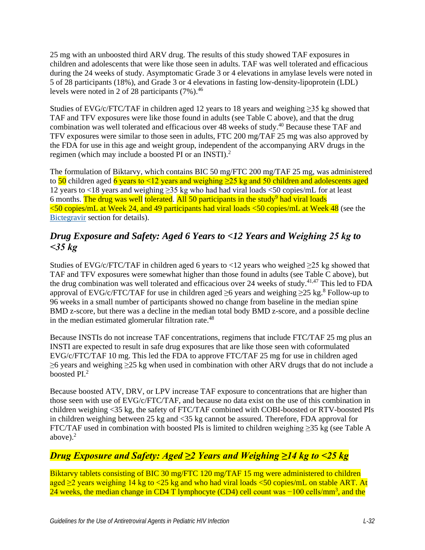25 mg with an unboosted third ARV drug. The results of this study showed TAF exposures in children and adolescents that were like those seen in adults. TAF was well tolerated and efficacious during the 24 weeks of study. Asymptomatic Grade 3 or 4 elevations in amylase levels were noted in 5 of 28 participants (18%), and Grade 3 or 4 elevations in fasting low-density-lipoprotein (LDL) levels were noted in 2 of 28 participants  $(7\%)$ .<sup>[46](#page-17-1)</sup>

Studies of EVG/c/FTC/TAF in children aged 12 years to 18 years and weighing  $\geq$ 35 kg showed that TAF and TFV exposures were like those found in adults (see Table C above), and that the drug combination was well tolerated and efficacious over 48 weeks of study.<sup>40</sup> Because these TAF and TFV exposures were similar to those seen in adults, FTC 200 mg/TAF 25 mg was also approved by the FDA for use in this age and weight group, independent of the accompanying ARV drugs in the regimen (which may include a boosted PI or an INSTI).<sup>[2](#page-12-1)</sup>

The formulation of Biktarvy, which contains BIC 50 mg/FTC 200 mg/TAF 25 mg, was administered to  $\frac{50}{ }$  children aged 6 years to  $\leq 12$  years and weighing  $\geq 25$  kg and 50 children and adolescents aged 12 years to <18 years and weighing ≥35 kg who had had viral loads <50 copies/mL for at least 6 months. The drug was well tolerated. All  $50$  participants in the study<sup>9</sup> had viral loads  $\leq$ 50 copies/mL at Week 24, and 49 participants had viral loads  $\leq$ 50 copies/mL at Week 48 (see the [Bictegravir](https://clinicalinfo.hiv.gov/en/guidelines/pediatric-arv/bictegravir) section for details).

# *Drug Exposure and Safety: Aged 6 Years to <12 Years and Weighing 25 kg to <35 kg*

Studies of EVG/c/FTC/TAF in children aged 6 years to <12 years who weighed  $\geq$ 25 kg showed that TAF and TFV exposures were somewhat higher than those found in adults (see Table C above), but the drug combination was well tolerated and efficacious over 24 weeks of study.[41,](#page-16-2)[47](#page-17-2) This led to FDA approval of EVG/c/FTC/TAF for use in children aged  $\geq$ 6 years and weighing  $\geq$ 25 kg.<sup>[8](#page-12-7)</sup> Follow-up to 96 weeks in a small number of participants showed no change from baseline in the median spine BMD z-score, but there was a decline in the median total body BMD z-score, and a possible decline in the median estimated glomerular filtration rate.<sup>[48](#page-17-3)</sup>

Because INSTIs do not increase TAF concentrations, regimens that include FTC/TAF 25 mg plus an INSTI are expected to result in safe drug exposures that are like those seen with coformulated EVG/c/FTC/TAF 10 mg. This led the FDA to approve FTC/TAF 25 mg for use in children aged  $\geq$ 6 years and weighing  $\geq$ 25 kg when used in combination with other ARV drugs that do not include a boosted PI. [2](#page-12-1)

Because boosted ATV, DRV, or LPV increase TAF exposure to concentrations that are higher than those seen with use of EVG/c/FTC/TAF, and because no data exist on the use of this combination in children weighing <35 kg, the safety of FTC/TAF combined with COBI-boosted or RTV-boosted PIs in children weighing between 25 kg and <35 kg cannot be assured. Therefore, FDA approval for FTC/TAF used in combination with boosted PIs is limited to children weighing ≥35 kg (see Table A above). $<sup>2</sup>$ </sup>

# *Drug Exposure and Safety: Aged ≥2 Years and Weighing ≥14 kg to <25 kg*

Biktarvy tablets consisting of BIC 30 mg/FTC 120 mg/TAF 15 mg were administered to children aged ≥2 years weighing 14 kg to <25 kg and who had viral loads <50 copies/mL on stable ART. At 24 weeks, the median change in CD4 T lymphocyte (CD4) cell count was −100 cells/mm<sup>3</sup>, and the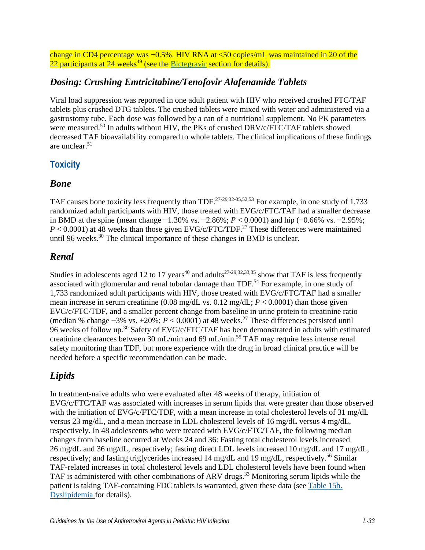change in CD4 percentage was  $+0.5\%$ . HIV RNA at  $\lt 50$  copies/mL was maintained in 20 of the 22 participants at  $24$  weeks<sup>49</sup> (see the [Bictegravir](https://clinicalinfo.hiv.gov/en/guidelines/pediatric-arv/bictegravir) section for details).

## *Dosing: Crushing Emtricitabine/Tenofovir Alafenamide Tablets*

Viral load suppression was reported in one adult patient with HIV who received crushed FTC/TAF tablets plus crushed DTG tablets. The crushed tablets were mixed with water and administered via a gastrostomy tube. Each dose was followed by a can of a nutritional supplement. No PK parameters were measured.<sup>50</sup> In adults without HIV, the PKs of crushed DRV/c/FTC/TAF tablets showed decreased TAF bioavailability compared to whole tablets. The clinical implications of these findings are unclear[.51](#page-17-6)

# **Toxicity**

#### *Bone*

TAF causes bone toxicity less frequently than TDF.<sup>[27-29,](#page-14-5)[32-35](#page-15-1)[,52,](#page-17-7)[53](#page-17-8)</sup> For example, in one study of 1,733 randomized adult participants with HIV, those treated with EVG/c/FTC/TAF had a smaller decrease in BMD at the spine (mean change −1.30% vs. −2.86%; *P* < 0.0001) and hip (−0.66% vs. −2.95%;  $P < 0.0001$ ) at 48 weeks than those given EVG/c/FTC/TDF.<sup>[27](#page-14-5)</sup> These differences were maintained until 96 weeks.<sup>30</sup> The clinical importance of these changes in BMD is unclear.

### *Renal*

Studies in adolescents aged 12 to 17 years<sup>40</sup> and adults<sup>27-29,[32,](#page-15-1)[33,](#page-15-5)[35](#page-15-2)</sup> show that TAF is less frequently associated with glomerular and renal tubular damage than TDF.<sup>54</sup> For example, in one study of 1,733 randomized adult participants with HIV, those treated with EVG/c/FTC/TAF had a smaller mean increase in serum creatinine  $(0.08 \text{ mg/dL vs. } 0.12 \text{ mg/dL}; P < 0.0001)$  than those given EVC/c/FTC/TDF, and a smaller percent change from baseline in urine protein to creatinine ratio (median % change −3% vs. +20%; *P* < 0.0001) at 48 weeks.[27](#page-14-5) These differences persisted until 96 weeks of follow up[.30](#page-15-4) Safety of EVG/c/FTC/TAF has been demonstrated in adults with estimated creatinine clearances between 30 mL/min and 69 mL/min. [55](#page-18-1) TAF may require less intense renal safety monitoring than TDF, but more experience with the drug in broad clinical practice will be needed before a specific recommendation can be made.

# *Lipids*

In treatment-naive adults who were evaluated after 48 weeks of therapy, initiation of EVG/c/FTC/TAF was associated with increases in serum lipids that were greater than those observed with the initiation of EVG/c/FTC/TDF, with a mean increase in total cholesterol levels of 31 mg/dL versus 23 mg/dL, and a mean increase in LDL cholesterol levels of 16 mg/dL versus 4 mg/dL, respectively. In 48 adolescents who were treated with EVG/c/FTC/TAF, the following median changes from baseline occurred at Weeks 24 and 36: Fasting total cholesterol levels increased 26 mg/dL and 36 mg/dL, respectively; fasting direct LDL levels increased 10 mg/dL and 17 mg/dL, respectively; and fasting triglycerides increased 14 mg/dL and 19 mg/dL, respectively.<sup>56</sup> Similar TAF-related increases in total cholesterol levels and LDL cholesterol levels have been found when TAF is administered with other combinations of ARV drugs.<sup>[33](#page-15-5)</sup> Monitoring serum lipids while the patient is taking TAF-containing FDC tablets is warranted, given these data (see [Table 15b.](https://clinicalinfo.hiv.gov/en/guidelines/pediatric-arv/dyslipidemia)  [Dyslipidemia](https://clinicalinfo.hiv.gov/en/guidelines/pediatric-arv/dyslipidemia) for details).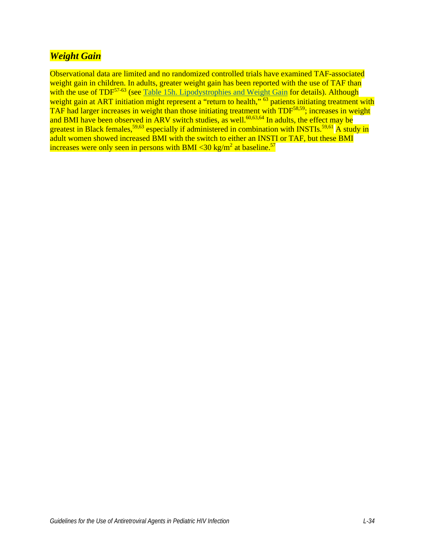# *Weight Gain*

Observational data are limited and no randomized controlled trials have examined TAF-associated weight gain in children. In adults, greater weight gain has been reported with the use of TAF than with the use of TDF<sup>57-63</sup> (see [Table 15h. Lipodystrophies and Weight Gain](https://clinicalinfo.hiv.gov/en/table/table-15h-antiretroviral-therapy-associated-adverse-effects-and-management-recommendations) for details). Although weight gain at ART initiation might represent a "return to health," <sup>63</sup> patients initiating treatment with TAF had larger increases in weight than those initiating treatment with TDF<sup>58,59</sup>; increases in weight and BMI have been observed in ARV switch studies, as well.<sup>[60,](#page-18-7)[63](#page-18-4),64</sup> In adults, the effect may be greatest in Black females,<sup>[59,](#page-18-6)[63](#page-18-4)</sup> especially if administered in combination with INSTIs.<sup>59,[61](#page-18-8)</sup> A study in adult women showed increased BMI with the switch to either an INSTI or TAF, but these BMI increases were only seen in persons with BMI <30 kg/m<sup>2</sup> at baseline.<sup>[57](#page-18-3)</sup>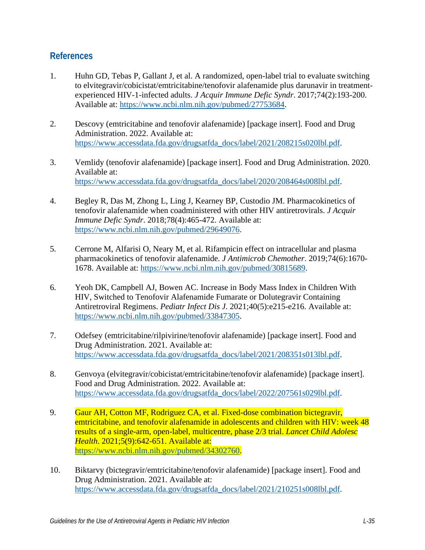### **References**

- <span id="page-12-0"></span>1. Huhn GD, Tebas P, Gallant J, et al. A randomized, open-label trial to evaluate switching to elvitegravir/cobicistat/emtricitabine/tenofovir alafenamide plus darunavir in treatmentexperienced HIV-1-infected adults. *J Acquir Immune Defic Syndr*. 2017;74(2):193-200. Available at: [https://www.ncbi.nlm.nih.gov/pubmed/27753684.](https://www.ncbi.nlm.nih.gov/pubmed/27753684)
- <span id="page-12-1"></span>2. Descovy (emtricitabine and tenofovir alafenamide) [package insert]. Food and Drug Administration. 2022. Available at: [https://www.accessdata.fda.gov/drugsatfda\\_docs/label/2021/208215s020lbl.pdf.](https://www.accessdata.fda.gov/drugsatfda_docs/label/2021/208215s020lbl.pdf)
- <span id="page-12-2"></span>3. Vemlidy (tenofovir alafenamide) [package insert]. Food and Drug Administration. 2020. Available at: [https://www.accessdata.fda.gov/drugsatfda\\_docs/label/2020/208464s008lbl.pdf.](https://www.accessdata.fda.gov/drugsatfda_docs/label/2020/208464s008lbl.pdf)
- <span id="page-12-3"></span>4. Begley R, Das M, Zhong L, Ling J, Kearney BP, Custodio JM. Pharmacokinetics of tenofovir alafenamide when coadministered with other HIV antiretrovirals. *J Acquir Immune Defic Syndr*. 2018;78(4):465-472. Available at: [https://www.ncbi.nlm.nih.gov/pubmed/29649076.](https://www.ncbi.nlm.nih.gov/pubmed/29649076)
- <span id="page-12-4"></span>5. Cerrone M, Alfarisi O, Neary M, et al. Rifampicin effect on intracellular and plasma pharmacokinetics of tenofovir alafenamide. *J Antimicrob Chemother*. 2019;74(6):1670- 1678. Available at: [https://www.ncbi.nlm.nih.gov/pubmed/30815689.](https://www.ncbi.nlm.nih.gov/pubmed/30815689)
- <span id="page-12-5"></span>6. Yeoh DK, Campbell AJ, Bowen AC. Increase in Body Mass Index in Children With HIV, Switched to Tenofovir Alafenamide Fumarate or Dolutegravir Containing Antiretroviral Regimens. *Pediatr Infect Dis J*. 2021;40(5):e215-e216. Available at: [https://www.ncbi.nlm.nih.gov/pubmed/33847305.](https://www.ncbi.nlm.nih.gov/pubmed/33847305)
- <span id="page-12-6"></span>7. Odefsey (emtricitabine/rilpivirine/tenofovir alafenamide) [package insert]. Food and Drug Administration. 2021. Available at: [https://www.accessdata.fda.gov/drugsatfda\\_docs/label/2021/208351s013lbl.pdf.](https://www.accessdata.fda.gov/drugsatfda_docs/label/2021/208351s013lbl.pdf)
- <span id="page-12-7"></span>8. Genvoya (elvitegravir/cobicistat/emtricitabine/tenofovir alafenamide) [package insert]. Food and Drug Administration. 2022. Available at: [https://www.accessdata.fda.gov/drugsatfda\\_docs/label/2022/207561s029lbl.pdf.](https://www.accessdata.fda.gov/drugsatfda_docs/label/2022/207561s029lbl.pdf)
- <span id="page-12-8"></span>9. Gaur AH, Cotton MF, Rodriguez CA, et al. Fixed-dose combination bictegravir, emtricitabine, and tenofovir alafenamide in adolescents and children with HIV: week 48 results of a single-arm, open-label, multicentre, phase 2/3 trial. *Lancet Child Adolesc Health*. 2021;5(9):642-651. Available at: [https://www.ncbi.nlm.nih.gov/pubmed/34302760.](https://www.ncbi.nlm.nih.gov/pubmed/34302760)
- <span id="page-12-9"></span>10. Biktarvy (bictegravir/emtricitabine/tenofovir alafenamide) [package insert]. Food and Drug Administration. 2021. Available at: [https://www.accessdata.fda.gov/drugsatfda\\_docs/label/2021/210251s008lbl.pdf.](https://www.accessdata.fda.gov/drugsatfda_docs/label/2021/210251s008lbl.pdf)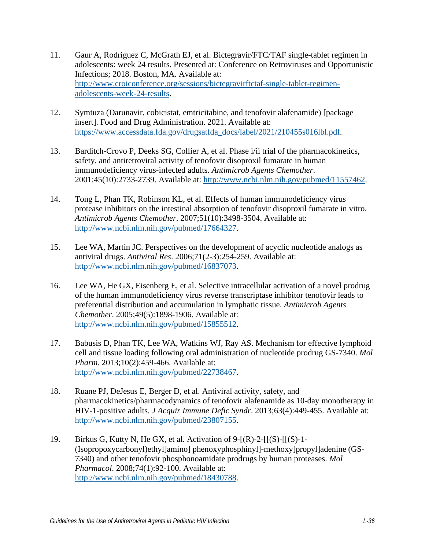- <span id="page-13-0"></span>11. Gaur A, Rodriguez C, McGrath EJ, et al. Bictegravir/FTC/TAF single-tablet regimen in adolescents: week 24 results. Presented at: Conference on Retroviruses and Opportunistic Infections; 2018. Boston, MA. Available at: [http://www.croiconference.org/sessions/bictegravirftctaf-single-tablet-regimen](http://www.croiconference.org/sessions/bictegravirftctaf-single-tablet-regimen-adolescents-week-24-results)[adolescents-week-24-results.](http://www.croiconference.org/sessions/bictegravirftctaf-single-tablet-regimen-adolescents-week-24-results)
- <span id="page-13-1"></span>12. Symtuza (Darunavir, cobicistat, emtricitabine, and tenofovir alafenamide) [package insert]. Food and Drug Administration. 2021. Available at: [https://www.accessdata.fda.gov/drugsatfda\\_docs/label/2021/210455s016lbl.pdf.](https://www.accessdata.fda.gov/drugsatfda_docs/label/2021/210455s016lbl.pdf)
- <span id="page-13-2"></span>13. Barditch-Crovo P, Deeks SG, Collier A, et al. Phase i/ii trial of the pharmacokinetics, safety, and antiretroviral activity of tenofovir disoproxil fumarate in human immunodeficiency virus-infected adults. *Antimicrob Agents Chemother*. 2001;45(10):2733-2739. Available at: [http://www.ncbi.nlm.nih.gov/pubmed/11557462.](http://www.ncbi.nlm.nih.gov/pubmed/11557462)
- <span id="page-13-3"></span>14. Tong L, Phan TK, Robinson KL, et al. Effects of human immunodeficiency virus protease inhibitors on the intestinal absorption of tenofovir disoproxil fumarate in vitro. *Antimicrob Agents Chemother*. 2007;51(10):3498-3504. Available at: [http://www.ncbi.nlm.nih.gov/pubmed/17664327.](http://www.ncbi.nlm.nih.gov/pubmed/17664327)
- <span id="page-13-4"></span>15. Lee WA, Martin JC. Perspectives on the development of acyclic nucleotide analogs as antiviral drugs. *Antiviral Res*. 2006;71(2-3):254-259. Available at: [http://www.ncbi.nlm.nih.gov/pubmed/16837073.](http://www.ncbi.nlm.nih.gov/pubmed/16837073)
- <span id="page-13-5"></span>16. Lee WA, He GX, Eisenberg E, et al. Selective intracellular activation of a novel prodrug of the human immunodeficiency virus reverse transcriptase inhibitor tenofovir leads to preferential distribution and accumulation in lymphatic tissue. *Antimicrob Agents Chemother*. 2005;49(5):1898-1906. Available at: [http://www.ncbi.nlm.nih.gov/pubmed/15855512.](http://www.ncbi.nlm.nih.gov/pubmed/15855512)
- <span id="page-13-6"></span>17. Babusis D, Phan TK, Lee WA, Watkins WJ, Ray AS. Mechanism for effective lymphoid cell and tissue loading following oral administration of nucleotide prodrug GS-7340. *Mol Pharm*. 2013;10(2):459-466. Available at: [http://www.ncbi.nlm.nih.gov/pubmed/22738467.](http://www.ncbi.nlm.nih.gov/pubmed/22738467)
- <span id="page-13-7"></span>18. Ruane PJ, DeJesus E, Berger D, et al. Antiviral activity, safety, and pharmacokinetics/pharmacodynamics of tenofovir alafenamide as 10-day monotherapy in HIV-1-positive adults. *J Acquir Immune Defic Syndr*. 2013;63(4):449-455. Available at: [http://www.ncbi.nlm.nih.gov/pubmed/23807155.](http://www.ncbi.nlm.nih.gov/pubmed/23807155)
- <span id="page-13-8"></span>19. Birkus G, Kutty N, He GX, et al. Activation of  $9-[R]-2-[S]-[S]-1-$ (Isopropoxycarbonyl)ethyl]amino] phenoxyphosphinyl]-methoxy]propyl]adenine (GS-7340) and other tenofovir phosphonoamidate prodrugs by human proteases. *Mol Pharmacol*. 2008;74(1):92-100. Available at: [http://www.ncbi.nlm.nih.gov/pubmed/18430788.](http://www.ncbi.nlm.nih.gov/pubmed/18430788)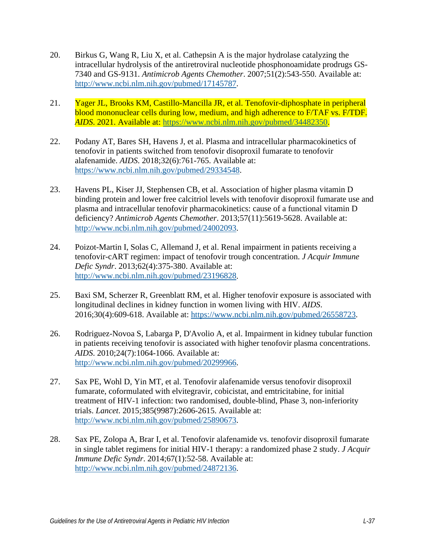- <span id="page-14-0"></span>20. Birkus G, Wang R, Liu X, et al. Cathepsin A is the major hydrolase catalyzing the intracellular hydrolysis of the antiretroviral nucleotide phosphonoamidate prodrugs GS-7340 and GS-9131. *Antimicrob Agents Chemother*. 2007;51(2):543-550. Available at: [http://www.ncbi.nlm.nih.gov/pubmed/17145787.](http://www.ncbi.nlm.nih.gov/pubmed/17145787)
- <span id="page-14-1"></span>21. Yager JL, Brooks KM, Castillo-Mancilla JR, et al. Tenofovir-diphosphate in peripheral blood mononuclear cells during low, medium, and high adherence to F/TAF vs. F/TDF. *AIDS*. 2021. Available at: [https://www.ncbi.nlm.nih.gov/pubmed/34482350.](https://www.ncbi.nlm.nih.gov/pubmed/34482350)
- <span id="page-14-2"></span>22. Podany AT, Bares SH, Havens J, et al. Plasma and intracellular pharmacokinetics of tenofovir in patients switched from tenofovir disoproxil fumarate to tenofovir alafenamide. *AIDS*. 2018;32(6):761-765. Available at: [https://www.ncbi.nlm.nih.gov/pubmed/29334548.](https://www.ncbi.nlm.nih.gov/pubmed/29334548)
- <span id="page-14-3"></span>23. Havens PL, Kiser JJ, Stephensen CB, et al. Association of higher plasma vitamin D binding protein and lower free calcitriol levels with tenofovir disoproxil fumarate use and plasma and intracellular tenofovir pharmacokinetics: cause of a functional vitamin D deficiency? *Antimicrob Agents Chemother*. 2013;57(11):5619-5628. Available at: [http://www.ncbi.nlm.nih.gov/pubmed/24002093.](http://www.ncbi.nlm.nih.gov/pubmed/24002093)
- 24. Poizot-Martin I, Solas C, Allemand J, et al. Renal impairment in patients receiving a tenofovir-cART regimen: impact of tenofovir trough concentration. *J Acquir Immune Defic Syndr*. 2013;62(4):375-380. Available at: [http://www.ncbi.nlm.nih.gov/pubmed/23196828.](http://www.ncbi.nlm.nih.gov/pubmed/23196828)
- 25. Baxi SM, Scherzer R, Greenblatt RM, et al. Higher tenofovir exposure is associated with longitudinal declines in kidney function in women living with HIV. *AIDS*. 2016;30(4):609-618. Available at: [https://www.ncbi.nlm.nih.gov/pubmed/26558723.](https://www.ncbi.nlm.nih.gov/pubmed/26558723)
- <span id="page-14-4"></span>26. Rodriguez-Novoa S, Labarga P, D'Avolio A, et al. Impairment in kidney tubular function in patients receiving tenofovir is associated with higher tenofovir plasma concentrations. *AIDS*. 2010;24(7):1064-1066. Available at: [http://www.ncbi.nlm.nih.gov/pubmed/20299966.](http://www.ncbi.nlm.nih.gov/pubmed/20299966)
- <span id="page-14-5"></span>27. Sax PE, Wohl D, Yin MT, et al. Tenofovir alafenamide versus tenofovir disoproxil fumarate, coformulated with elvitegravir, cobicistat, and emtricitabine, for initial treatment of HIV-1 infection: two randomised, double-blind, Phase 3, non-inferiority trials. *Lancet*. 2015;385(9987):2606-2615. Available at: [http://www.ncbi.nlm.nih.gov/pubmed/25890673.](http://www.ncbi.nlm.nih.gov/pubmed/25890673)
- 28. Sax PE, Zolopa A, Brar I, et al. Tenofovir alafenamide vs. tenofovir disoproxil fumarate in single tablet regimens for initial HIV-1 therapy: a randomized phase 2 study. *J Acquir Immune Defic Syndr*. 2014;67(1):52-58. Available at: [http://www.ncbi.nlm.nih.gov/pubmed/24872136.](http://www.ncbi.nlm.nih.gov/pubmed/24872136)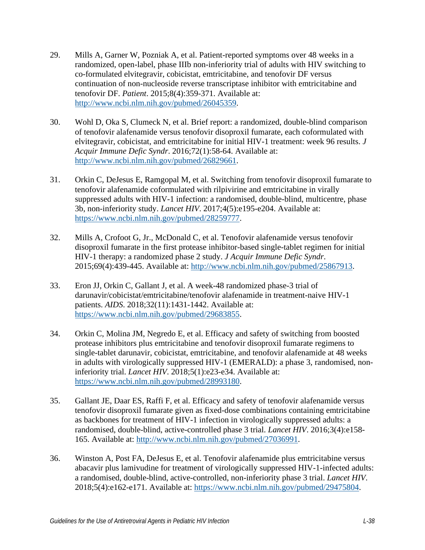- 29. Mills A, Garner W, Pozniak A, et al. Patient-reported symptoms over 48 weeks in a randomized, open-label, phase IIIb non-inferiority trial of adults with HIV switching to co-formulated elvitegravir, cobicistat, emtricitabine, and tenofovir DF versus continuation of non-nucleoside reverse transcriptase inhibitor with emtricitabine and tenofovir DF. *Patient*. 2015;8(4):359-371. Available at: [http://www.ncbi.nlm.nih.gov/pubmed/26045359.](http://www.ncbi.nlm.nih.gov/pubmed/26045359)
- <span id="page-15-4"></span>30. Wohl D, Oka S, Clumeck N, et al. Brief report: a randomized, double-blind comparison of tenofovir alafenamide versus tenofovir disoproxil fumarate, each coformulated with elvitegravir, cobicistat, and emtricitabine for initial HIV-1 treatment: week 96 results. *J Acquir Immune Defic Syndr*. 2016;72(1):58-64. Available at: [http://www.ncbi.nlm.nih.gov/pubmed/26829661.](http://www.ncbi.nlm.nih.gov/pubmed/26829661)
- <span id="page-15-0"></span>31. Orkin C, DeJesus E, Ramgopal M, et al. Switching from tenofovir disoproxil fumarate to tenofovir alafenamide coformulated with rilpivirine and emtricitabine in virally suppressed adults with HIV-1 infection: a randomised, double-blind, multicentre, phase 3b, non-inferiority study. *Lancet HIV*. 2017;4(5):e195-e204. Available at: [https://www.ncbi.nlm.nih.gov/pubmed/28259777.](https://www.ncbi.nlm.nih.gov/pubmed/28259777)
- <span id="page-15-1"></span>32. Mills A, Crofoot G, Jr., McDonald C, et al. Tenofovir alafenamide versus tenofovir disoproxil fumarate in the first protease inhibitor-based single-tablet regimen for initial HIV-1 therapy: a randomized phase 2 study. *J Acquir Immune Defic Syndr*. 2015;69(4):439-445. Available at: [http://www.ncbi.nlm.nih.gov/pubmed/25867913.](http://www.ncbi.nlm.nih.gov/pubmed/25867913)
- <span id="page-15-5"></span>33. Eron JJ, Orkin C, Gallant J, et al. A week-48 randomized phase-3 trial of darunavir/cobicistat/emtricitabine/tenofovir alafenamide in treatment-naive HIV-1 patients. *AIDS*. 2018;32(11):1431-1442. Available at: [https://www.ncbi.nlm.nih.gov/pubmed/29683855.](https://www.ncbi.nlm.nih.gov/pubmed/29683855)
- 34. Orkin C, Molina JM, Negredo E, et al. Efficacy and safety of switching from boosted protease inhibitors plus emtricitabine and tenofovir disoproxil fumarate regimens to single-tablet darunavir, cobicistat, emtricitabine, and tenofovir alafenamide at 48 weeks in adults with virologically suppressed HIV-1 (EMERALD): a phase 3, randomised, noninferiority trial. *Lancet HIV*. 2018;5(1):e23-e34. Available at: [https://www.ncbi.nlm.nih.gov/pubmed/28993180.](https://www.ncbi.nlm.nih.gov/pubmed/28993180)
- <span id="page-15-2"></span>35. Gallant JE, Daar ES, Raffi F, et al. Efficacy and safety of tenofovir alafenamide versus tenofovir disoproxil fumarate given as fixed-dose combinations containing emtricitabine as backbones for treatment of HIV-1 infection in virologically suppressed adults: a randomised, double-blind, active-controlled phase 3 trial. *Lancet HIV*. 2016;3(4):e158- 165. Available at: [http://www.ncbi.nlm.nih.gov/pubmed/27036991.](http://www.ncbi.nlm.nih.gov/pubmed/27036991)
- <span id="page-15-3"></span>36. Winston A, Post FA, DeJesus E, et al. Tenofovir alafenamide plus emtricitabine versus abacavir plus lamivudine for treatment of virologically suppressed HIV-1-infected adults: a randomised, double-blind, active-controlled, non-inferiority phase 3 trial. *Lancet HIV*. 2018;5(4):e162-e171. Available at: [https://www.ncbi.nlm.nih.gov/pubmed/29475804.](https://www.ncbi.nlm.nih.gov/pubmed/29475804)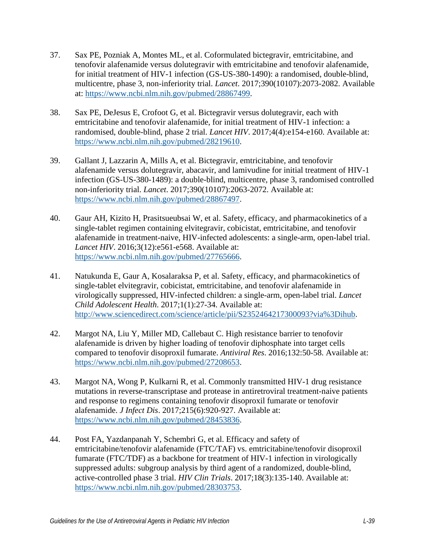- <span id="page-16-0"></span>37. Sax PE, Pozniak A, Montes ML, et al. Coformulated bictegravir, emtricitabine, and tenofovir alafenamide versus dolutegravir with emtricitabine and tenofovir alafenamide, for initial treatment of HIV-1 infection (GS-US-380-1490): a randomised, double-blind, multicentre, phase 3, non-inferiority trial. *Lancet*. 2017;390(10107):2073-2082. Available at: [https://www.ncbi.nlm.nih.gov/pubmed/28867499.](https://www.ncbi.nlm.nih.gov/pubmed/28867499)
- 38. Sax PE, DeJesus E, Crofoot G, et al. Bictegravir versus dolutegravir, each with emtricitabine and tenofovir alafenamide, for initial treatment of HIV-1 infection: a randomised, double-blind, phase 2 trial. *Lancet HIV*. 2017;4(4):e154-e160. Available at: [https://www.ncbi.nlm.nih.gov/pubmed/28219610.](https://www.ncbi.nlm.nih.gov/pubmed/28219610)
- 39. Gallant J, Lazzarin A, Mills A, et al. Bictegravir, emtricitabine, and tenofovir alafenamide versus dolutegravir, abacavir, and lamivudine for initial treatment of HIV-1 infection (GS-US-380-1489): a double-blind, multicentre, phase 3, randomised controlled non-inferiority trial. *Lancet*. 2017;390(10107):2063-2072. Available at: [https://www.ncbi.nlm.nih.gov/pubmed/28867497.](https://www.ncbi.nlm.nih.gov/pubmed/28867497)
- <span id="page-16-1"></span>40. Gaur AH, Kizito H, Prasitsueubsai W, et al. Safety, efficacy, and pharmacokinetics of a single-tablet regimen containing elvitegravir, cobicistat, emtricitabine, and tenofovir alafenamide in treatment-naive, HIV-infected adolescents: a single-arm, open-label trial. *Lancet HIV*. 2016;3(12):e561-e568. Available at: [https://www.ncbi.nlm.nih.gov/pubmed/27765666.](https://www.ncbi.nlm.nih.gov/pubmed/27765666)
- <span id="page-16-2"></span>41. Natukunda E, Gaur A, Kosalaraksa P, et al. Safety, efficacy, and pharmacokinetics of single-tablet elvitegravir, cobicistat, emtricitabine, and tenofovir alafenamide in virologically suppressed, HIV-infected children: a single-arm, open-label trial. *Lancet Child Adolescent Health*. 2017;1(1):27-34. Available at: [http://www.sciencedirect.com/science/article/pii/S2352464217300093?via%3Dihub.](http://www.sciencedirect.com/science/article/pii/S2352464217300093?via%3Dihub)
- <span id="page-16-3"></span>42. Margot NA, Liu Y, Miller MD, Callebaut C. High resistance barrier to tenofovir alafenamide is driven by higher loading of tenofovir diphosphate into target cells compared to tenofovir disoproxil fumarate. *Antiviral Res*. 2016;132:50-58. Available at: [https://www.ncbi.nlm.nih.gov/pubmed/27208653.](https://www.ncbi.nlm.nih.gov/pubmed/27208653)
- <span id="page-16-4"></span>43. Margot NA, Wong P, Kulkarni R, et al. Commonly transmitted HIV-1 drug resistance mutations in reverse-transcriptase and protease in antiretroviral treatment-naive patients and response to regimens containing tenofovir disoproxil fumarate or tenofovir alafenamide. *J Infect Dis*. 2017;215(6):920-927. Available at: [https://www.ncbi.nlm.nih.gov/pubmed/28453836.](https://www.ncbi.nlm.nih.gov/pubmed/28453836)
- <span id="page-16-5"></span>44. Post FA, Yazdanpanah Y, Schembri G, et al. Efficacy and safety of emtricitabine/tenofovir alafenamide (FTC/TAF) vs. emtricitabine/tenofovir disoproxil fumarate (FTC/TDF) as a backbone for treatment of HIV-1 infection in virologically suppressed adults: subgroup analysis by third agent of a randomized, double-blind, active-controlled phase 3 trial. *HIV Clin Trials*. 2017;18(3):135-140. Available at: [https://www.ncbi.nlm.nih.gov/pubmed/28303753.](https://www.ncbi.nlm.nih.gov/pubmed/28303753)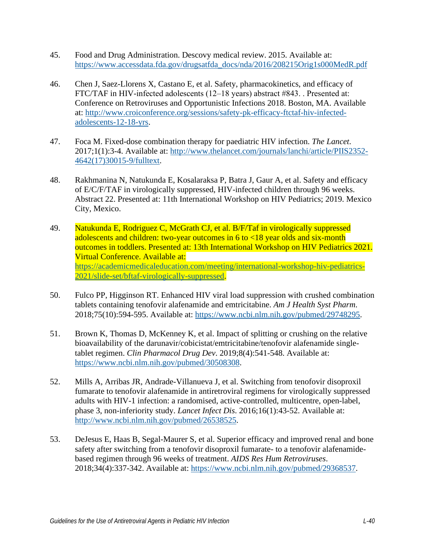- <span id="page-17-0"></span>45. Food and Drug Administration. Descovy medical review. 2015. Available at: [https://www.accessdata.fda.gov/drugsatfda\\_docs/nda/2016/208215Orig1s000MedR.pdf](https://www.accessdata.fda.gov/drugsatfda_docs/nda/2016/208215Orig1s000MedR.pdf)
- <span id="page-17-1"></span>46. Chen J, Saez-Llorens X, Castano E, et al. Safety, pharmacokinetics, and efficacy of FTC/TAF in HIV-infected adolescents (12–18 years) abstract #843. . Presented at: Conference on Retroviruses and Opportunistic Infections 2018. Boston, MA. Available at: [http://www.croiconference.org/sessions/safety-pk-efficacy-ftctaf-hiv-infected](http://www.croiconference.org/sessions/safety-pk-efficacy-ftctaf-hiv-infected-adolescents-12-18-yrs)[adolescents-12-18-yrs.](http://www.croiconference.org/sessions/safety-pk-efficacy-ftctaf-hiv-infected-adolescents-12-18-yrs)
- <span id="page-17-2"></span>47. Foca M. Fixed-dose combination therapy for paediatric HIV infection. *The Lancet*. 2017;1(1):3-4. Available at: [http://www.thelancet.com/journals/lanchi/article/PIIS2352-](http://www.thelancet.com/journals/lanchi/article/PIIS2352-4642(17)30015-9/fulltext) [4642\(17\)30015-9/fulltext.](http://www.thelancet.com/journals/lanchi/article/PIIS2352-4642(17)30015-9/fulltext)
- <span id="page-17-3"></span>48. Rakhmanina N, Natukunda E, Kosalaraksa P, Batra J, Gaur A, et al. Safety and efficacy of E/C/F/TAF in virologically suppressed, HIV-infected children through 96 weeks. Abstract 22. Presented at: 11th International Workshop on HIV Pediatrics; 2019. Mexico City, Mexico.
- <span id="page-17-4"></span>49. Natukunda E, Rodriguez C, McGrath CJ, et al. B/F/Taf in virologically suppressed adolescents and children: two-year outcomes in 6 to <18 year olds and six-month outcomes in toddlers. Presented at: 13th International Workshop on HIV Pediatrics 2021. Virtual Conference. Available at: [https://academicmedicaleducation.com/meeting/international-workshop-hiv-pediatrics-](https://academicmedicaleducation.com/meeting/international-workshop-hiv-pediatrics-2021/slide-set/bftaf-virologically-suppressed)[2021/slide-set/bftaf-virologically-suppressed.](https://academicmedicaleducation.com/meeting/international-workshop-hiv-pediatrics-2021/slide-set/bftaf-virologically-suppressed)
- <span id="page-17-5"></span>50. Fulco PP, Higginson RT. Enhanced HIV viral load suppression with crushed combination tablets containing tenofovir alafenamide and emtricitabine. *Am J Health Syst Pharm*. 2018;75(10):594-595. Available at: [https://www.ncbi.nlm.nih.gov/pubmed/29748295.](https://www.ncbi.nlm.nih.gov/pubmed/29748295)
- <span id="page-17-6"></span>51. Brown K, Thomas D, McKenney K, et al. Impact of splitting or crushing on the relative bioavailability of the darunavir/cobicistat/emtricitabine/tenofovir alafenamide singletablet regimen. *Clin Pharmacol Drug Dev*. 2019;8(4):541-548. Available at: [https://www.ncbi.nlm.nih.gov/pubmed/30508308.](https://www.ncbi.nlm.nih.gov/pubmed/30508308)
- <span id="page-17-7"></span>52. Mills A, Arribas JR, Andrade-Villanueva J, et al. Switching from tenofovir disoproxil fumarate to tenofovir alafenamide in antiretroviral regimens for virologically suppressed adults with HIV-1 infection: a randomised, active-controlled, multicentre, open-label, phase 3, non-inferiority study. *Lancet Infect Dis*. 2016;16(1):43-52. Available at: [http://www.ncbi.nlm.nih.gov/pubmed/26538525.](http://www.ncbi.nlm.nih.gov/pubmed/26538525)
- <span id="page-17-8"></span>53. DeJesus E, Haas B, Segal-Maurer S, et al. Superior efficacy and improved renal and bone safety after switching from a tenofovir disoproxil fumarate- to a tenofovir alafenamidebased regimen through 96 weeks of treatment. *AIDS Res Hum Retroviruses*. 2018;34(4):337-342. Available at: [https://www.ncbi.nlm.nih.gov/pubmed/29368537.](https://www.ncbi.nlm.nih.gov/pubmed/29368537)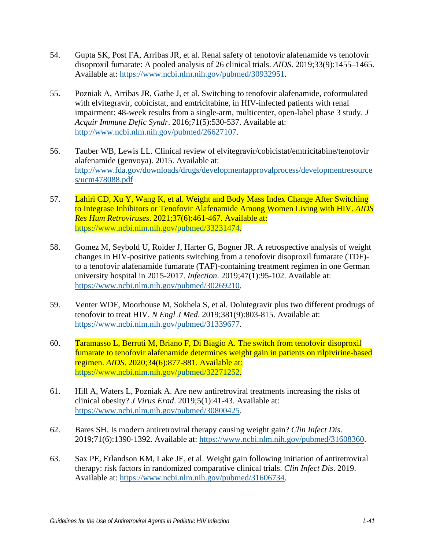- <span id="page-18-0"></span>54. Gupta SK, Post FA, Arribas JR, et al. Renal safety of tenofovir alafenamide vs tenofovir disoproxil fumarate: A pooled analysis of 26 clinical trials. *AIDS*. 2019;33(9):1455–1465. Available at: [https://www.ncbi.nlm.nih.gov/pubmed/30932951.](https://www.ncbi.nlm.nih.gov/pubmed/30932951)
- <span id="page-18-1"></span>55. Pozniak A, Arribas JR, Gathe J, et al. Switching to tenofovir alafenamide, coformulated with elvitegravir, cobicistat, and emtricitabine, in HIV-infected patients with renal impairment: 48-week results from a single-arm, multicenter, open-label phase 3 study. *J Acquir Immune Defic Syndr*. 2016;71(5):530-537. Available at: [http://www.ncbi.nlm.nih.gov/pubmed/26627107.](http://www.ncbi.nlm.nih.gov/pubmed/26627107)
- <span id="page-18-2"></span>56. Tauber WB, Lewis LL. Clinical review of elvitegravir/cobicistat/emtricitabine/tenofovir alafenamide (genvoya). 2015. Available at: [http://www.fda.gov/downloads/drugs/developmentapprovalprocess/developmentresource](http://www.fda.gov/downloads/drugs/developmentapprovalprocess/developmentresources/ucm478088.pdf) [s/ucm478088.pdf](http://www.fda.gov/downloads/drugs/developmentapprovalprocess/developmentresources/ucm478088.pdf)
- <span id="page-18-3"></span>57. Lahiri CD, Xu Y, Wang K, et al. Weight and Body Mass Index Change After Switching to Integrase Inhibitors or Tenofovir Alafenamide Among Women Living with HIV. *AIDS Res Hum Retroviruses*. 2021;37(6):461-467. Available at: [https://www.ncbi.nlm.nih.gov/pubmed/33231474.](https://www.ncbi.nlm.nih.gov/pubmed/33231474)
- <span id="page-18-5"></span>58. Gomez M, Seybold U, Roider J, Harter G, Bogner JR. A retrospective analysis of weight changes in HIV-positive patients switching from a tenofovir disoproxil fumarate (TDF) to a tenofovir alafenamide fumarate (TAF)-containing treatment regimen in one German university hospital in 2015-2017. *Infection*. 2019;47(1):95-102. Available at: [https://www.ncbi.nlm.nih.gov/pubmed/30269210.](https://www.ncbi.nlm.nih.gov/pubmed/30269210)
- <span id="page-18-6"></span>59. Venter WDF, Moorhouse M, Sokhela S, et al. Dolutegravir plus two different prodrugs of tenofovir to treat HIV. *N Engl J Med*. 2019;381(9):803-815. Available at: [https://www.ncbi.nlm.nih.gov/pubmed/31339677.](https://www.ncbi.nlm.nih.gov/pubmed/31339677)
- <span id="page-18-7"></span>60. Taramasso L, Berruti M, Briano F, Di Biagio A. The switch from tenofovir disoproxil fumarate to tenofovir alafenamide determines weight gain in patients on rilpivirine-based regimen. *AIDS*. 2020;34(6):877-881. Available at: [https://www.ncbi.nlm.nih.gov/pubmed/32271252.](https://www.ncbi.nlm.nih.gov/pubmed/32271252)
- <span id="page-18-8"></span>61. Hill A, Waters L, Pozniak A. Are new antiretroviral treatments increasing the risks of clinical obesity? *J Virus Erad*. 2019;5(1):41-43. Available at: [https://www.ncbi.nlm.nih.gov/pubmed/30800425.](https://www.ncbi.nlm.nih.gov/pubmed/30800425)
- 62. Bares SH. Is modern antiretroviral therapy causing weight gain? *Clin Infect Dis*. 2019;71(6):1390-1392. Available at: [https://www.ncbi.nlm.nih.gov/pubmed/31608360.](https://www.ncbi.nlm.nih.gov/pubmed/31608360)
- <span id="page-18-4"></span>63. Sax PE, Erlandson KM, Lake JE, et al. Weight gain following initiation of antiretroviral therapy: risk factors in randomized comparative clinical trials. *Clin Infect Dis*. 2019. Available at: [https://www.ncbi.nlm.nih.gov/pubmed/31606734.](https://www.ncbi.nlm.nih.gov/pubmed/31606734)